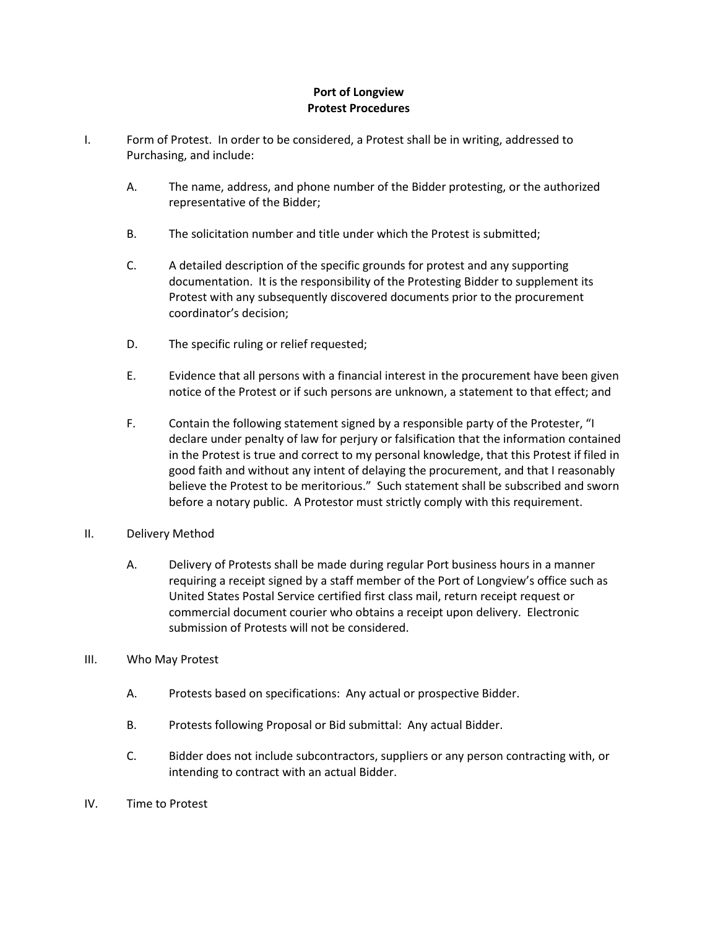## **Port of Longview Protest Procedures**

- I. Form of Protest. In order to be considered, a Protest shall be in writing, addressed to Purchasing, and include:
	- A. The name, address, and phone number of the Bidder protesting, or the authorized representative of the Bidder;
	- B. The solicitation number and title under which the Protest is submitted;
	- C. A detailed description of the specific grounds for protest and any supporting documentation. It is the responsibility of the Protesting Bidder to supplement its Protest with any subsequently discovered documents prior to the procurement coordinator's decision;
	- D. The specific ruling or relief requested;
	- E. Evidence that all persons with a financial interest in the procurement have been given notice of the Protest or if such persons are unknown, a statement to that effect; and
	- F. Contain the following statement signed by a responsible party of the Protester, "I declare under penalty of law for perjury or falsification that the information contained in the Protest is true and correct to my personal knowledge, that this Protest if filed in good faith and without any intent of delaying the procurement, and that I reasonably believe the Protest to be meritorious." Such statement shall be subscribed and sworn before a notary public. A Protestor must strictly comply with this requirement.
- II. Delivery Method
	- A. Delivery of Protests shall be made during regular Port business hours in a manner requiring a receipt signed by a staff member of the Port of Longview's office such as United States Postal Service certified first class mail, return receipt request or commercial document courier who obtains a receipt upon delivery. Electronic submission of Protests will not be considered.
- III. Who May Protest
	- A. Protests based on specifications: Any actual or prospective Bidder.
	- B. Protests following Proposal or Bid submittal: Any actual Bidder.
	- C. Bidder does not include subcontractors, suppliers or any person contracting with, or intending to contract with an actual Bidder.
- IV. Time to Protest